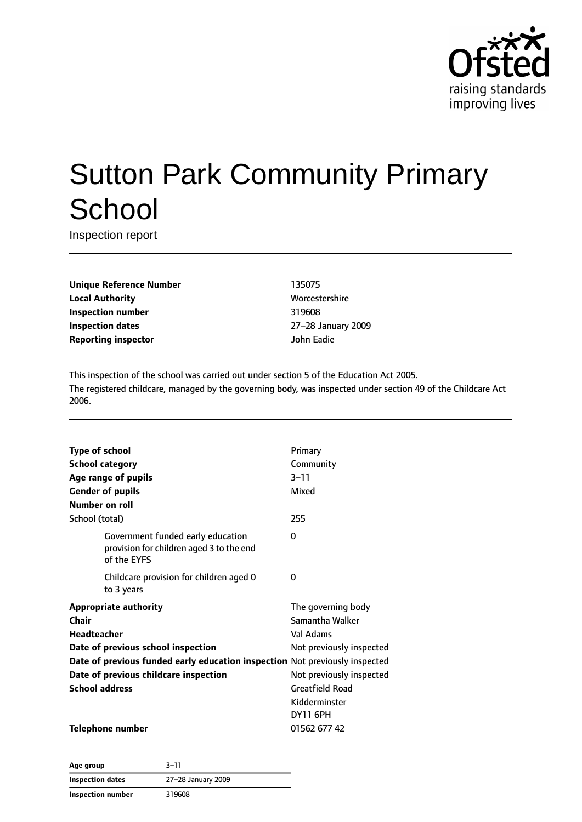

# Sutton Park Community Primary **School**

Inspection report

**Unique Reference Number** 135075 **Local Authority More** Worcestershire **Inspection number** 319608 **Inspection dates** 27–28 January 2009 **Reporting inspector** John Eadie

This inspection of the school was carried out under section 5 of the Education Act 2005. The registered childcare, managed by the governing body, was inspected under section 49 of the Childcare Act 2006.

| <b>Type of school</b>                                                                        | Primary                  |
|----------------------------------------------------------------------------------------------|--------------------------|
| <b>School category</b>                                                                       | Community                |
| Age range of pupils                                                                          | $3 - 11$                 |
| <b>Gender of pupils</b>                                                                      | Mixed                    |
| Number on roll                                                                               |                          |
| School (total)                                                                               | 255                      |
| Government funded early education<br>provision for children aged 3 to the end<br>of the EYFS | 0                        |
| Childcare provision for children aged 0<br>to 3 years                                        | 0                        |
| <b>Appropriate authority</b>                                                                 | The governing body       |
| Chair                                                                                        | Samantha Walker          |
| Headteacher                                                                                  | Val Adams                |
| Date of previous school inspection                                                           | Not previously inspected |
| Date of previous funded early education inspection Not previously inspected                  |                          |
| Date of previous childcare inspection                                                        | Not previously inspected |
| <b>School address</b>                                                                        | <b>Greatfield Road</b>   |
|                                                                                              | Kidderminster            |
|                                                                                              | <b>DY11 6PH</b>          |
| Telephone number                                                                             | 01562 677 42             |

**Age group** 3–11 **Inspection dates** 27–28 January 2009 **Inspection number** 319608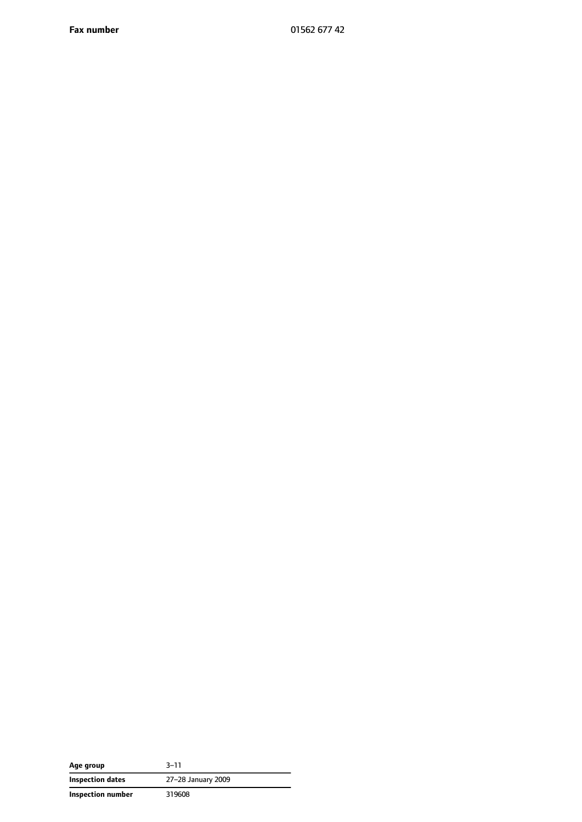**Fax number** 01562 677 42

| Age group         | $3 - 11$           |
|-------------------|--------------------|
| Inspection dates  | 27-28 January 2009 |
| Inspection number | 319608             |

 $\overline{\phantom{0}}$  $\overline{\phantom{0}}$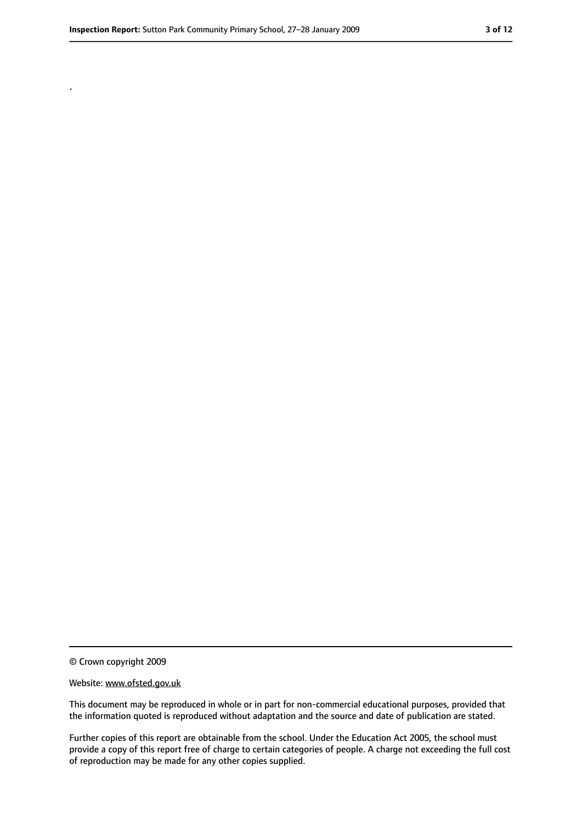.

<sup>©</sup> Crown copyright 2009

Website: www.ofsted.gov.uk

This document may be reproduced in whole or in part for non-commercial educational purposes, provided that the information quoted is reproduced without adaptation and the source and date of publication are stated.

Further copies of this report are obtainable from the school. Under the Education Act 2005, the school must provide a copy of this report free of charge to certain categories of people. A charge not exceeding the full cost of reproduction may be made for any other copies supplied.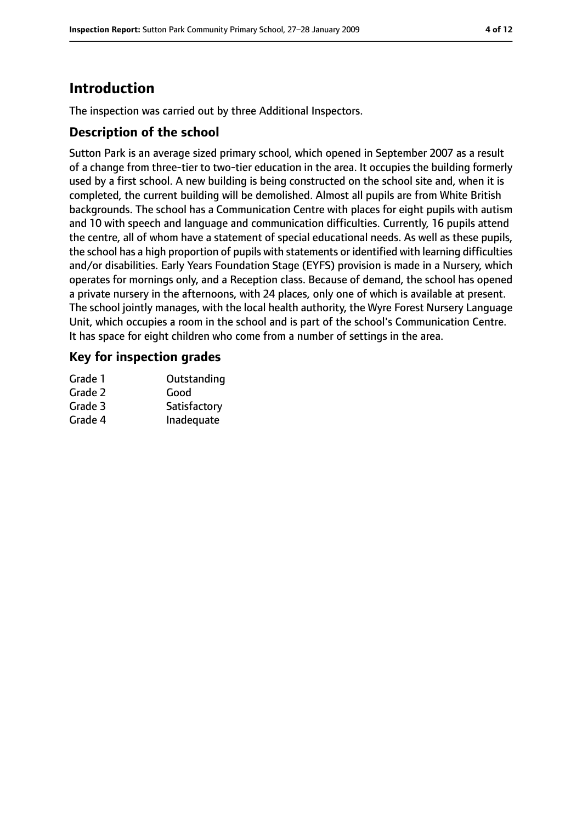# **Introduction**

The inspection was carried out by three Additional Inspectors.

## **Description of the school**

Sutton Park is an average sized primary school, which opened in September 2007 as a result of a change from three-tier to two-tier education in the area. It occupies the building formerly used by a first school. A new building is being constructed on the school site and, when it is completed, the current building will be demolished. Almost all pupils are from White British backgrounds. The school has a Communication Centre with places for eight pupils with autism and 10 with speech and language and communication difficulties. Currently, 16 pupils attend the centre, all of whom have a statement of special educational needs. As well as these pupils, the school has a high proportion of pupils with statements or identified with learning difficulties and/or disabilities. Early Years Foundation Stage (EYFS) provision is made in a Nursery, which operates for mornings only, and a Reception class. Because of demand, the school has opened a private nursery in the afternoons, with 24 places, only one of which is available at present. The school jointly manages, with the local health authority, the Wyre Forest Nursery Language Unit, which occupies a room in the school and is part of the school's Communication Centre. It has space for eight children who come from a number of settings in the area.

## **Key for inspection grades**

| Outstanding  |
|--------------|
| Good         |
| Satisfactory |
| Inadequate   |
|              |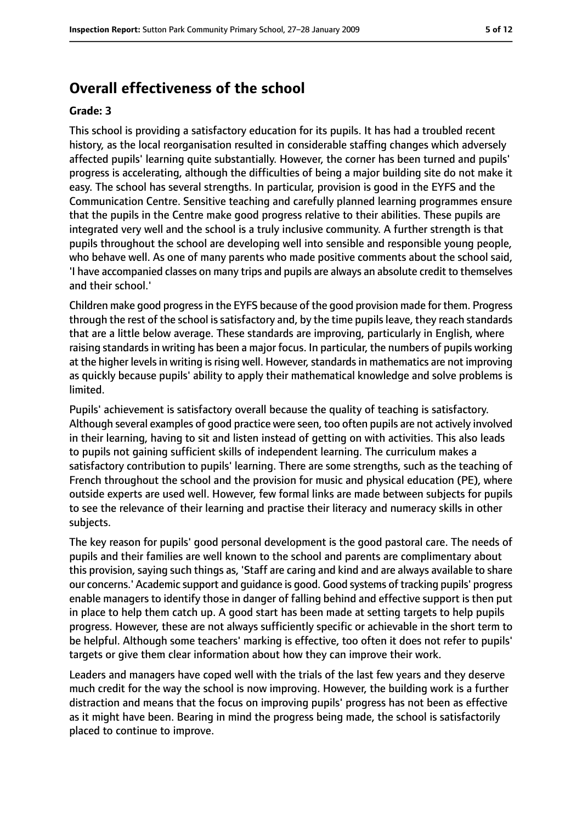## **Overall effectiveness of the school**

#### **Grade: 3**

This school is providing a satisfactory education for its pupils. It has had a troubled recent history, as the local reorganisation resulted in considerable staffing changes which adversely affected pupils' learning quite substantially. However, the corner has been turned and pupils' progress is accelerating, although the difficulties of being a major building site do not make it easy. The school has several strengths. In particular, provision is good in the EYFS and the Communication Centre. Sensitive teaching and carefully planned learning programmes ensure that the pupils in the Centre make good progress relative to their abilities. These pupils are integrated very well and the school is a truly inclusive community. A further strength is that pupils throughout the school are developing well into sensible and responsible young people, who behave well. As one of many parents who made positive comments about the school said, 'I have accompanied classes on many trips and pupils are always an absolute credit to themselves and their school.'

Children make good progressin the EYFS because of the good provision made for them. Progress through the rest of the school issatisfactory and, by the time pupilsleave, they reach standards that are a little below average. These standards are improving, particularly in English, where raising standards in writing has been a major focus. In particular, the numbers of pupils working at the higher levels in writing is rising well. However, standards in mathematics are not improving as quickly because pupils' ability to apply their mathematical knowledge and solve problems is limited.

Pupils' achievement is satisfactory overall because the quality of teaching is satisfactory. Although several examples of good practice were seen, too often pupils are not actively involved in their learning, having to sit and listen instead of getting on with activities. This also leads to pupils not gaining sufficient skills of independent learning. The curriculum makes a satisfactory contribution to pupils' learning. There are some strengths, such as the teaching of French throughout the school and the provision for music and physical education (PE), where outside experts are used well. However, few formal links are made between subjects for pupils to see the relevance of their learning and practise their literacy and numeracy skills in other subjects.

The key reason for pupils' good personal development is the good pastoral care. The needs of pupils and their families are well known to the school and parents are complimentary about this provision, saying such things as, 'Staff are caring and kind and are always available to share our concerns.' Academic support and guidance is good. Good systems of tracking pupils' progress enable managers to identify those in danger of falling behind and effective support is then put in place to help them catch up. A good start has been made at setting targets to help pupils progress. However, these are not always sufficiently specific or achievable in the short term to be helpful. Although some teachers' marking is effective, too often it does not refer to pupils' targets or give them clear information about how they can improve their work.

Leaders and managers have coped well with the trials of the last few years and they deserve much credit for the way the school is now improving. However, the building work is a further distraction and means that the focus on improving pupils' progress has not been as effective as it might have been. Bearing in mind the progress being made, the school is satisfactorily placed to continue to improve.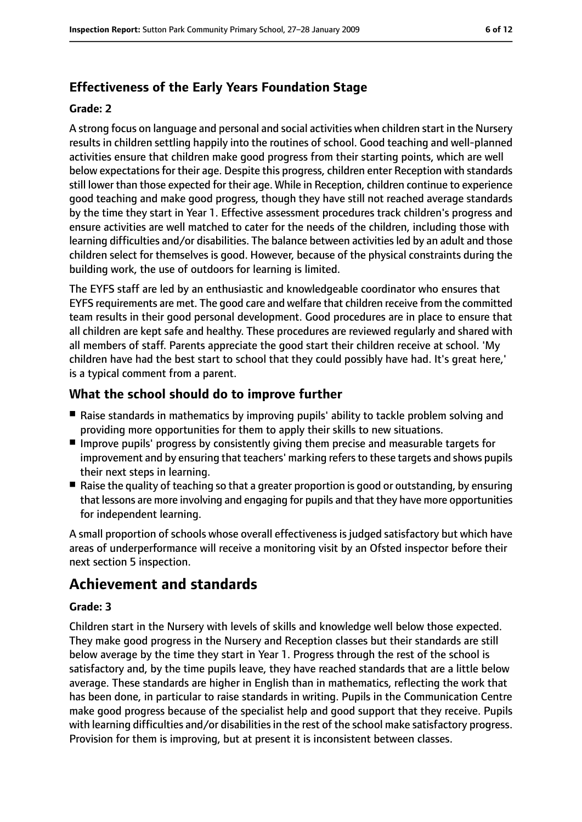# **Effectiveness of the Early Years Foundation Stage**

#### **Grade: 2**

A strong focus on language and personal and social activities when children start in the Nursery results in children settling happily into the routines of school. Good teaching and well-planned activities ensure that children make good progress from their starting points, which are well below expectations for their age. Despite this progress, children enter Reception with standards still lower than those expected for their age. While in Reception, children continue to experience good teaching and make good progress, though they have still not reached average standards by the time they start in Year 1. Effective assessment procedures track children's progress and ensure activities are well matched to cater for the needs of the children, including those with learning difficulties and/or disabilities. The balance between activities led by an adult and those children select for themselves is good. However, because of the physical constraints during the building work, the use of outdoors for learning is limited.

The EYFS staff are led by an enthusiastic and knowledgeable coordinator who ensures that EYFS requirements are met. The good care and welfare that children receive from the committed team results in their good personal development. Good procedures are in place to ensure that all children are kept safe and healthy. These procedures are reviewed regularly and shared with all members of staff. Parents appreciate the good start their children receive at school. 'My children have had the best start to school that they could possibly have had. It's great here,' is a typical comment from a parent.

## **What the school should do to improve further**

- Raise standards in mathematics by improving pupils' ability to tackle problem solving and providing more opportunities for them to apply their skills to new situations.
- Improve pupils' progress by consistently giving them precise and measurable targets for improvement and by ensuring that teachers' marking refersto these targets and shows pupils their next steps in learning.
- Raise the quality of teaching so that a greater proportion is good or outstanding, by ensuring that lessons are more involving and engaging for pupils and that they have more opportunities for independent learning.

A small proportion of schools whose overall effectiveness is judged satisfactory but which have areas of underperformance will receive a monitoring visit by an Ofsted inspector before their next section 5 inspection.

# **Achievement and standards**

#### **Grade: 3**

Children start in the Nursery with levels of skills and knowledge well below those expected. They make good progress in the Nursery and Reception classes but their standards are still below average by the time they start in Year 1. Progress through the rest of the school is satisfactory and, by the time pupils leave, they have reached standards that are a little below average. These standards are higher in English than in mathematics, reflecting the work that has been done, in particular to raise standards in writing. Pupils in the Communication Centre make good progress because of the specialist help and good support that they receive. Pupils with learning difficulties and/or disabilities in the rest of the school make satisfactory progress. Provision for them is improving, but at present it is inconsistent between classes.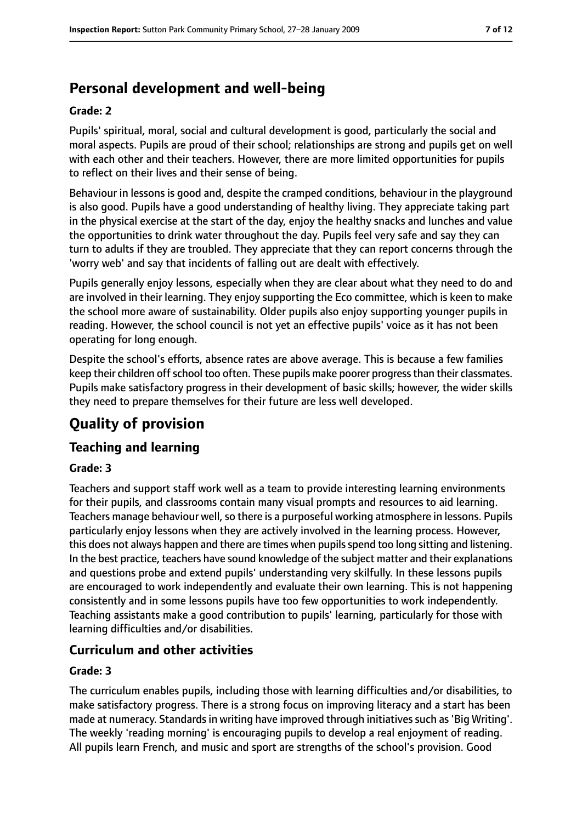# **Personal development and well-being**

#### **Grade: 2**

Pupils' spiritual, moral, social and cultural development is good, particularly the social and moral aspects. Pupils are proud of their school; relationships are strong and pupils get on well with each other and their teachers. However, there are more limited opportunities for pupils to reflect on their lives and their sense of being.

Behaviour in lessons is good and, despite the cramped conditions, behaviour in the playground is also good. Pupils have a good understanding of healthy living. They appreciate taking part in the physical exercise at the start of the day, enjoy the healthy snacks and lunches and value the opportunities to drink water throughout the day. Pupils feel very safe and say they can turn to adults if they are troubled. They appreciate that they can report concerns through the 'worry web' and say that incidents of falling out are dealt with effectively.

Pupils generally enjoy lessons, especially when they are clear about what they need to do and are involved in their learning. They enjoy supporting the Eco committee, which is keen to make the school more aware of sustainability. Older pupils also enjoy supporting younger pupils in reading. However, the school council is not yet an effective pupils' voice as it has not been operating for long enough.

Despite the school's efforts, absence rates are above average. This is because a few families keep their children offschool too often. These pupils make poorer progressthan their classmates. Pupils make satisfactory progress in their development of basic skills; however, the wider skills they need to prepare themselves for their future are less well developed.

# **Quality of provision**

## **Teaching and learning**

#### **Grade: 3**

Teachers and support staff work well as a team to provide interesting learning environments for their pupils, and classrooms contain many visual prompts and resources to aid learning. Teachers manage behaviour well, so there is a purposeful working atmosphere in lessons. Pupils particularly enjoy lessons when they are actively involved in the learning process. However, this does not always happen and there are times when pupils spend too long sitting and listening. In the best practice, teachers have sound knowledge of the subject matter and their explanations and questions probe and extend pupils' understanding very skilfully. In these lessons pupils are encouraged to work independently and evaluate their own learning. This is not happening consistently and in some lessons pupils have too few opportunities to work independently. Teaching assistants make a good contribution to pupils' learning, particularly for those with learning difficulties and/or disabilities.

## **Curriculum and other activities**

#### **Grade: 3**

The curriculum enables pupils, including those with learning difficulties and/or disabilities, to make satisfactory progress. There is a strong focus on improving literacy and a start has been made at numeracy. Standards in writing have improved through initiatives such as 'Big Writing'. The weekly 'reading morning' is encouraging pupils to develop a real enjoyment of reading. All pupils learn French, and music and sport are strengths of the school's provision. Good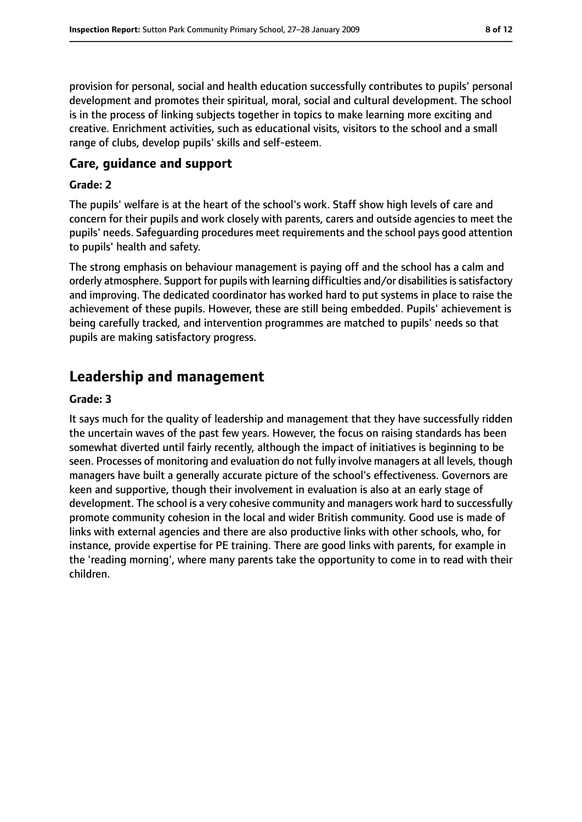provision for personal, social and health education successfully contributes to pupils' personal development and promotes their spiritual, moral, social and cultural development. The school is in the process of linking subjects together in topics to make learning more exciting and creative. Enrichment activities, such as educational visits, visitors to the school and a small range of clubs, develop pupils' skills and self-esteem.

#### **Care, guidance and support**

#### **Grade: 2**

The pupils' welfare is at the heart of the school's work. Staff show high levels of care and concern for their pupils and work closely with parents, carers and outside agencies to meet the pupils' needs. Safeguarding procedures meet requirements and the school pays good attention to pupils' health and safety.

The strong emphasis on behaviour management is paying off and the school has a calm and orderly atmosphere. Support for pupils with learning difficulties and/or disabilities is satisfactory and improving. The dedicated coordinator has worked hard to put systems in place to raise the achievement of these pupils. However, these are still being embedded. Pupils' achievement is being carefully tracked, and intervention programmes are matched to pupils' needs so that pupils are making satisfactory progress.

# **Leadership and management**

#### **Grade: 3**

It says much for the quality of leadership and management that they have successfully ridden the uncertain waves of the past few years. However, the focus on raising standards has been somewhat diverted until fairly recently, although the impact of initiatives is beginning to be seen. Processes of monitoring and evaluation do not fully involve managers at all levels, though managers have built a generally accurate picture of the school's effectiveness. Governors are keen and supportive, though their involvement in evaluation is also at an early stage of development. The school is a very cohesive community and managers work hard to successfully promote community cohesion in the local and wider British community. Good use is made of links with external agencies and there are also productive links with other schools, who, for instance, provide expertise for PE training. There are good links with parents, for example in the 'reading morning', where many parents take the opportunity to come in to read with their children.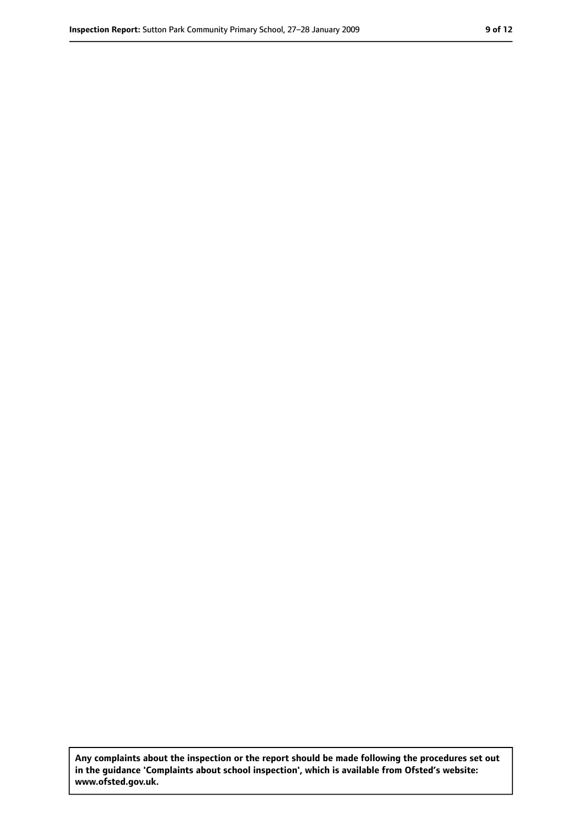**Any complaints about the inspection or the report should be made following the procedures set out in the guidance 'Complaints about school inspection', which is available from Ofsted's website: www.ofsted.gov.uk.**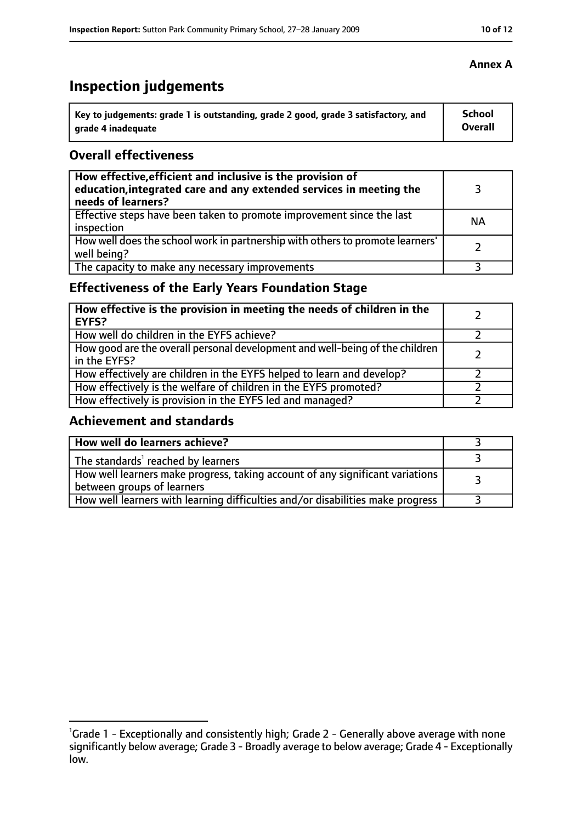# **Inspection judgements**

| Key to judgements: grade 1 is outstanding, grade 2 good, grade 3 satisfactory, and | <b>School</b> |
|------------------------------------------------------------------------------------|---------------|
| arade 4 inadequate                                                                 | Overall       |

## **Overall effectiveness**

| How effective, efficient and inclusive is the provision of<br>education, integrated care and any extended services in meeting the<br>needs of learners? |           |
|---------------------------------------------------------------------------------------------------------------------------------------------------------|-----------|
| Effective steps have been taken to promote improvement since the last<br>inspection                                                                     | <b>NA</b> |
| How well does the school work in partnership with others to promote learners'<br>well being?                                                            |           |
| The capacity to make any necessary improvements                                                                                                         |           |

# **Effectiveness of the Early Years Foundation Stage**

| How effective is the provision in meeting the needs of children in the<br><b>EYFS?</b>       |  |
|----------------------------------------------------------------------------------------------|--|
| How well do children in the EYFS achieve?                                                    |  |
| How good are the overall personal development and well-being of the children<br>in the EYFS? |  |
| How effectively are children in the EYFS helped to learn and develop?                        |  |
| How effectively is the welfare of children in the EYFS promoted?                             |  |
| How effectively is provision in the EYFS led and managed?                                    |  |

## **Achievement and standards**

| How well do learners achieve?                                                                               |  |
|-------------------------------------------------------------------------------------------------------------|--|
| The standards <sup>1</sup> reached by learners                                                              |  |
| How well learners make progress, taking account of any significant variations<br>between groups of learners |  |
| How well learners with learning difficulties and/or disabilities make progress                              |  |

## **Annex A**

<sup>&</sup>lt;sup>1</sup>Grade 1 - Exceptionally and consistently high; Grade 2 - Generally above average with none significantly below average; Grade 3 - Broadly average to below average; Grade 4 - Exceptionally low.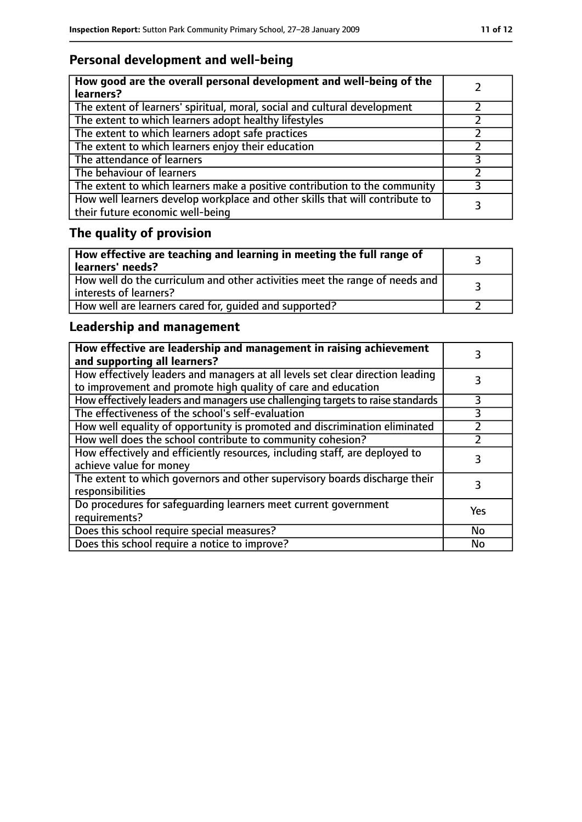# **Personal development and well-being**

| How good are the overall personal development and well-being of the<br>learners?                                 |  |
|------------------------------------------------------------------------------------------------------------------|--|
| The extent of learners' spiritual, moral, social and cultural development                                        |  |
| The extent to which learners adopt healthy lifestyles                                                            |  |
| The extent to which learners adopt safe practices                                                                |  |
| The extent to which learners enjoy their education                                                               |  |
| The attendance of learners                                                                                       |  |
| The behaviour of learners                                                                                        |  |
| The extent to which learners make a positive contribution to the community                                       |  |
| How well learners develop workplace and other skills that will contribute to<br>their future economic well-being |  |

# **The quality of provision**

| How effective are teaching and learning in meeting the full range of<br>learners' needs?              |  |
|-------------------------------------------------------------------------------------------------------|--|
| How well do the curriculum and other activities meet the range of needs and<br>interests of learners? |  |
| How well are learners cared for, quided and supported?                                                |  |

# **Leadership and management**

| How effective are leadership and management in raising achievement<br>and supporting all learners?                                              |           |
|-------------------------------------------------------------------------------------------------------------------------------------------------|-----------|
| How effectively leaders and managers at all levels set clear direction leading<br>to improvement and promote high quality of care and education |           |
| How effectively leaders and managers use challenging targets to raise standards                                                                 | 3         |
| The effectiveness of the school's self-evaluation                                                                                               | 3         |
| How well equality of opportunity is promoted and discrimination eliminated                                                                      |           |
| How well does the school contribute to community cohesion?                                                                                      |           |
| How effectively and efficiently resources, including staff, are deployed to<br>achieve value for money                                          |           |
| The extent to which governors and other supervisory boards discharge their<br>responsibilities                                                  | 3         |
| Do procedures for safequarding learners meet current government<br>requirements?                                                                | Yes       |
| Does this school require special measures?                                                                                                      | <b>No</b> |
| Does this school require a notice to improve?                                                                                                   | No        |